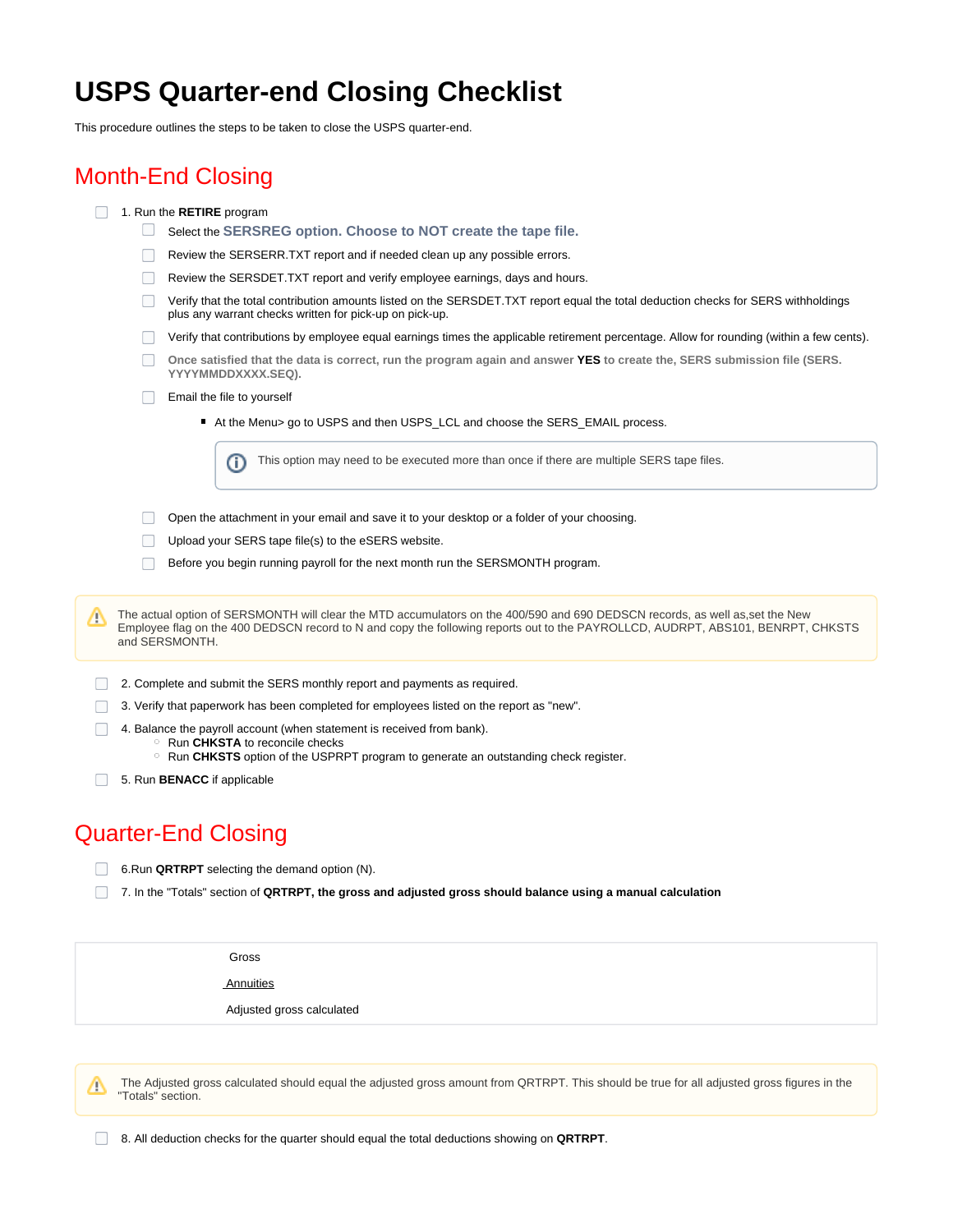## **USPS Quarter-end Closing Checklist**

This procedure outlines the steps to be taken to close the USPS quarter-end.

## Month-End Closing

- 1. Run the **RETIRE** program
	- Select the **SERSREG option. Choose to NOT create the tape file.**
	- Review the SERSERR.TXT report and if needed clean up any possible errors.
	- Review the SERSDET.TXT report and verify employee earnings, days and hours.
	- $\Box$  Verify that the total contribution amounts listed on the SERSDET.TXT report equal the total deduction checks for SERS withholdings plus any warrant checks written for pick-up on pick-up.
	- Verify that contributions by employee equal earnings times the applicable retirement percentage. Allow for rounding (within a few cents).
	- **Once satisfied that the data is correct, run the program again and answer YES to create the, SERS submission file (SERS. YYYYMMDDXXXX.SEQ).**
	- Email the file to yourself
		- At the Menu> go to USPS and then USPS\_LCL and choose the SERS\_EMAIL process.

This option may need to be executed more than once if there are multiple SERS tape files. ⋒

- Open the attachment in your email and save it to your desktop or a folder of your choosing.
- Upload your SERS tape file(s) to the eSERS website.
- Before you begin running payroll for the next month run the SERSMONTH program.

The actual option of SERSMONTH will clear the MTD accumulators on the 400/590 and 690 DEDSCN records, as well as,set the New Λ Employee flag on the 400 DEDSCN record to N and copy the following reports out to the PAYROLLCD, AUDRPT, ABS101, BENRPT, CHKSTS and SERSMONTH.

- 2. Complete and submit the SERS monthly report and payments as required.
- 3. Verify that paperwork has been completed for employees listed on the report as "new".
- $\Box$ 4. Balance the payroll account (when statement is received from bank).
	- Run **CHKSTA** to reconcile checks
	- <sup>o</sup> Run CHKSTS option of the USPRPT program to generate an outstanding check register.
- 5. Run **BENACC** if applicable

## Quarter-End Closing

- 6.Run **QRTRPT** selecting the demand option (N).
- 7. In the "Totals" section of **QRTRPT, the gross and adjusted gross should balance using a manual calculation**

Gross

**Annuities** 

Adjusted gross calculated

 The Adjusted gross calculated should equal the adjusted gross amount from QRTRPT. This should be true for all adjusted gross figures in the Δ "Totals" section.

8. All deduction checks for the quarter should equal the total deductions showing on **QRTRPT**.